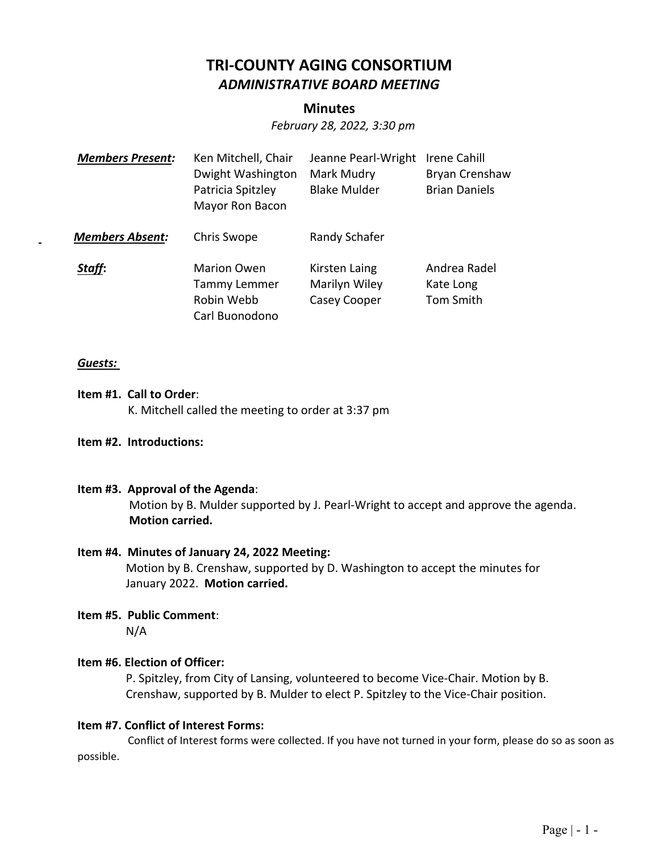## **TRI‐COUNTY AGING CONSORTIUM**  *ADMINISTRATIVE BOARD MEETING*

## **Minutes**

*February 28, 2022, 3:30 pm* 

| <b>Members Present:</b> | Ken Mitchell, Chair<br>Dwight Washington<br>Patricia Spitzley<br>Mayor Ron Bacon | Jeanne Pearl-Wright<br>Mark Mudry<br><b>Blake Mulder</b> | Irene Cahill<br>Bryan Crenshaw<br><b>Brian Daniels</b> |
|-------------------------|----------------------------------------------------------------------------------|----------------------------------------------------------|--------------------------------------------------------|
| <b>Members Absent:</b>  | Chris Swope                                                                      | Randy Schafer                                            |                                                        |
| Staff:                  | <b>Marion Owen</b><br>Tammy Lemmer<br>Robin Webb<br>Carl Buonodono               | Kirsten Laing<br>Marilyn Wiley<br>Casey Cooper           | Andrea Radel<br>Kate Long<br>Tom Smith                 |

#### *Guests:*

- **Item #1. Call to Order**: K. Mitchell called the meeting to order at 3:37 pm
- **Item #2. Introductions:**

#### **Item #3. Approval of the Agenda**:

Motion by B. Mulder supported by J. Pearl‐Wright to accept and approve the agenda. **Motion carried.** 

#### **Item #4. Minutes of January 24, 2022 Meeting:**

Motion by B. Crenshaw, supported by D. Washington to accept the minutes for January 2022. **Motion carried.**

# **Item #5. Public Comment**:

N/A

#### **Item #6. Election of Officer:**

P. Spitzley, from City of Lansing, volunteered to become Vice‐Chair. Motion by B. Crenshaw, supported by B. Mulder to elect P. Spitzley to the Vice‐Chair position. 

#### **Item #7. Conflict of Interest Forms:**

Conflict of Interest forms were collected. If you have not turned in your form, please do so as soon as possible.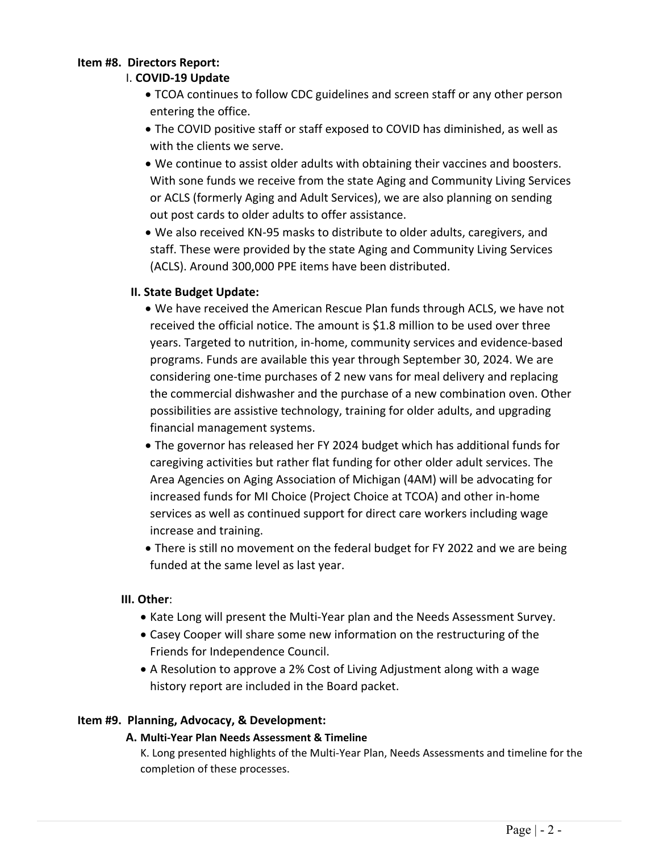#### **Item #8. Directors Report:**

## I. **COVID‐19 Update**

- TCOA continues to follow CDC guidelines and screen staff or any other person entering the office.
- The COVID positive staff or staff exposed to COVID has diminished, as well as with the clients we serve.
- We continue to assist older adults with obtaining their vaccines and boosters. With sone funds we receive from the state Aging and Community Living Services or ACLS (formerly Aging and Adult Services), we are also planning on sending out post cards to older adults to offer assistance.
- We also received KN‐95 masks to distribute to older adults, caregivers, and staff. These were provided by the state Aging and Community Living Services (ACLS). Around 300,000 PPE items have been distributed.

## **II. State Budget Update:**

- We have received the American Rescue Plan funds through ACLS, we have not received the official notice. The amount is \$1.8 million to be used over three years. Targeted to nutrition, in‐home, community services and evidence‐based programs. Funds are available this year through September 30, 2024. We are considering one‐time purchases of 2 new vans for meal delivery and replacing the commercial dishwasher and the purchase of a new combination oven. Other possibilities are assistive technology, training for older adults, and upgrading financial management systems.
- The governor has released her FY 2024 budget which has additional funds for caregiving activities but rather flat funding for other older adult services. The Area Agencies on Aging Association of Michigan (4AM) will be advocating for increased funds for MI Choice (Project Choice at TCOA) and other in‐home services as well as continued support for direct care workers including wage increase and training.
- There is still no movement on the federal budget for FY 2022 and we are being funded at the same level as last year.

## **III. Other**:

- Kate Long will present the Multi-Year plan and the Needs Assessment Survey.
- Casey Cooper will share some new information on the restructuring of the Friends for Independence Council.
- A Resolution to approve a 2% Cost of Living Adjustment along with a wage history report are included in the Board packet.

## **Item #9. Planning, Advocacy, & Development:**

## **A. Multi‐Year Plan Needs Assessment & Timeline**

K. Long presented highlights of the Multi‐Year Plan, Needs Assessments and timeline for the completion of these processes.